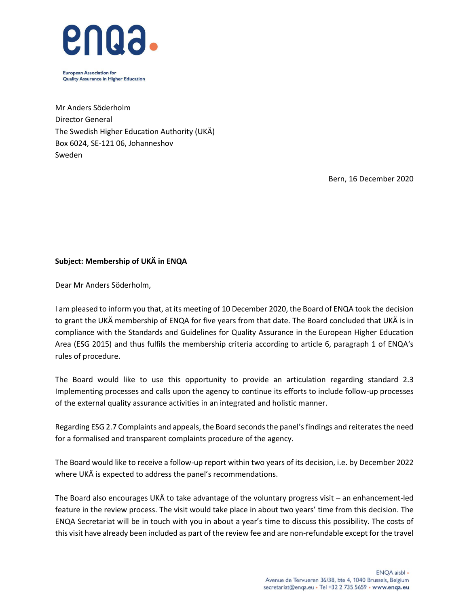

**European Association for Quality Assurance in Higher Education** 

Mr Anders Söderholm Director General The Swedish Higher Education Authority (UKÄ) Box 6024, SE-121 06, Johanneshov Sweden

Bern, 16 December 2020

# **Subject: Membership of UKÄ in ENQA**

Dear Mr Anders Söderholm,

I am pleased to inform you that, at its meeting of 10 December 2020, the Board of ENQA took the decision to grant the UKÄ membership of ENQA for five years from that date. The Board concluded that UKÄ is in compliance with the Standards and Guidelines for Quality Assurance in the European Higher Education Area (ESG 2015) and thus fulfils the membership criteria according to article 6, paragraph 1 of ENQA's rules of procedure.

The Board would like to use this opportunity to provide an articulation regarding standard 2.3 Implementing processes and calls upon the agency to continue its efforts to include follow-up processes of the external quality assurance activities in an integrated and holistic manner.

Regarding ESG 2.7 Complaints and appeals, the Board seconds the panel's findings and reiterates the need for a formalised and transparent complaints procedure of the agency.

The Board would like to receive a follow-up report within two years of its decision, i.e. by December 2022 where UKÄ is expected to address the panel's recommendations.

The Board also encourages UKÄ to take advantage of the voluntary progress visit – an enhancement-led feature in the review process. The visit would take place in about two years' time from this decision. The ENQA Secretariat will be in touch with you in about a year's time to discuss this possibility. The costs of this visit have already been included as part of the review fee and are non-refundable except for the travel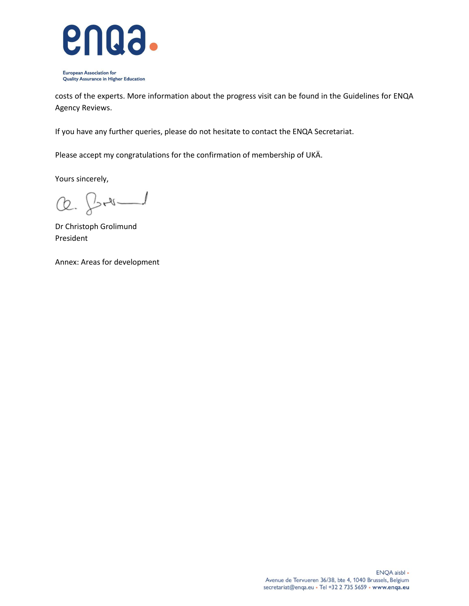

**European Association for** Quality Assurance in Higher Education

costs of the experts. More information about the progress visit can be found in the Guidelines for ENQA Agency Reviews.

If you have any further queries, please do not hesitate to contact the ENQA Secretariat.

Please accept my congratulations for the confirmation of membership of UKÄ.

Yours sincerely,

Q. for

Dr Christoph Grolimund President

Annex: Areas for development